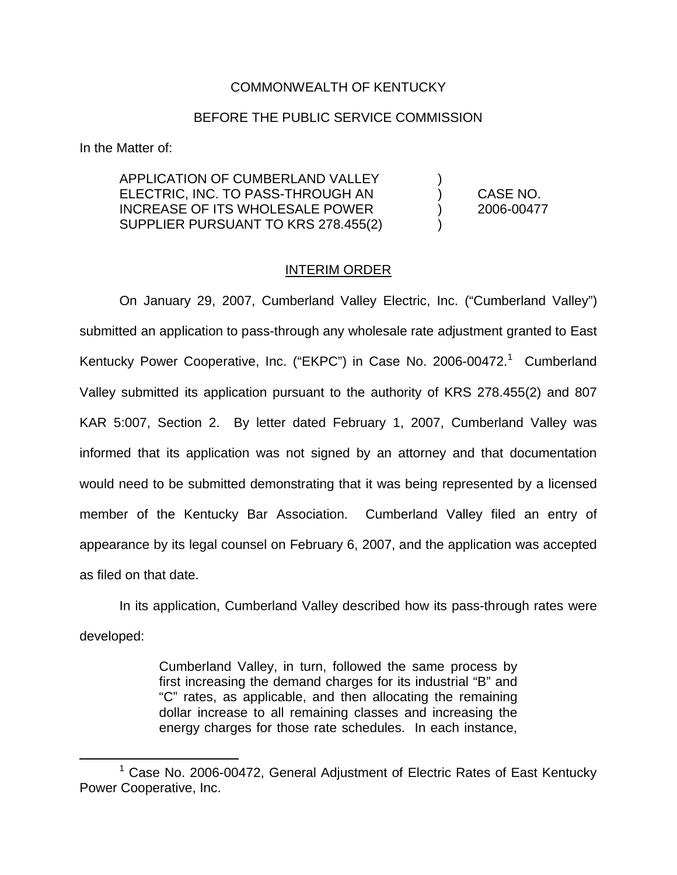## COMMONWEALTH OF KENTUCKY

## BEFORE THE PUBLIC SERVICE COMMISSION

In the Matter of:

APPLICATION OF CUMBERLAND VALLEY ) ELECTRIC, INC. TO PASS-THROUGH AN ) CASE NO. INCREASE OF ITS WHOLESALE POWER ) 2006-00477 SUPPLIER PURSUANT TO KRS 278.455(2) )

## INTERIM ORDER

On January 29, 2007, Cumberland Valley Electric, Inc. ("Cumberland Valley") submitted an application to pass-through any wholesale rate adjustment granted to East Kentucky Power Cooperative, Inc. ("EKPC") in Case No. 2006-00472.<sup>1</sup> Cumberland Valley submitted its application pursuant to the authority of KRS 278.455(2) and 807 KAR 5:007, Section 2. By letter dated February 1, 2007, Cumberland Valley was informed that its application was not signed by an attorney and that documentation would need to be submitted demonstrating that it was being represented by a licensed member of the Kentucky Bar Association. Cumberland Valley filed an entry of appearance by its legal counsel on February 6, 2007, and the application was accepted as filed on that date.

In its application, Cumberland Valley described how its pass-through rates were developed:

> Cumberland Valley, in turn, followed the same process by first increasing the demand charges for its industrial "B" and "C" rates, as applicable, and then allocating the remaining dollar increase to all remaining classes and increasing the energy charges for those rate schedules. In each instance,

 $1$  Case No. 2006-00472, General Adjustment of Electric Rates of East Kentucky Power Cooperative, Inc.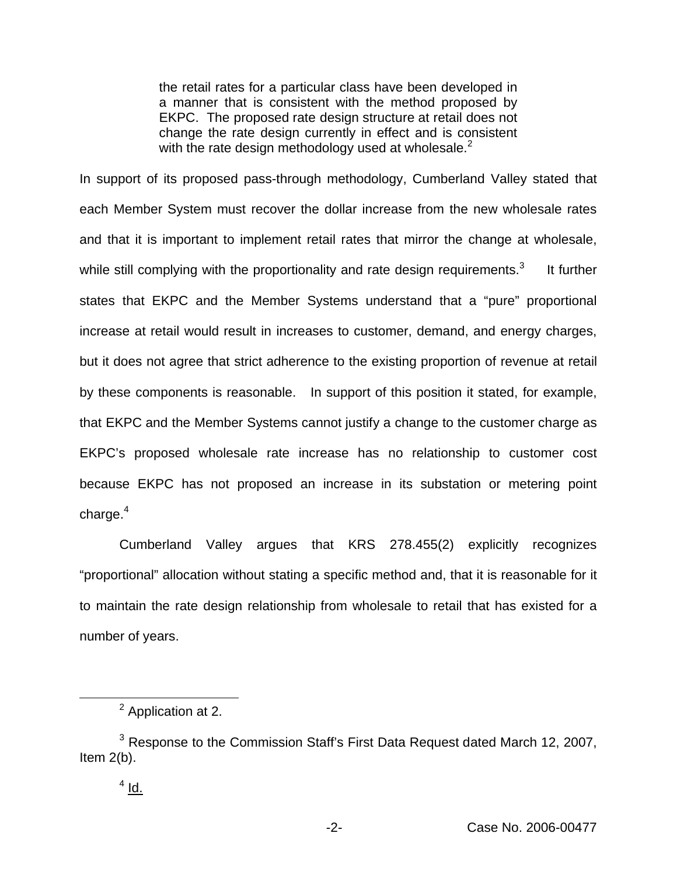the retail rates for a particular class have been developed in a manner that is consistent with the method proposed by EKPC. The proposed rate design structure at retail does not change the rate design currently in effect and is consistent with the rate design methodology used at wholesale.<sup>2</sup>

In support of its proposed pass-through methodology, Cumberland Valley stated that each Member System must recover the dollar increase from the new wholesale rates and that it is important to implement retail rates that mirror the change at wholesale, while still complying with the proportionality and rate design requirements. $3$  It further states that EKPC and the Member Systems understand that a "pure" proportional increase at retail would result in increases to customer, demand, and energy charges, but it does not agree that strict adherence to the existing proportion of revenue at retail by these components is reasonable. In support of this position it stated, for example, that EKPC and the Member Systems cannot justify a change to the customer charge as EKPC's proposed wholesale rate increase has no relationship to customer cost because EKPC has not proposed an increase in its substation or metering point charge. $4$ 

Cumberland Valley argues that KRS 278.455(2) explicitly recognizes "proportional" allocation without stating a specific method and, that it is reasonable for it to maintain the rate design relationship from wholesale to retail that has existed for a number of years.

<sup>2</sup> Application at 2.

 $3$  Response to the Commission Staff's First Data Request dated March 12, 2007, Item 2(b).

 $4$  Id.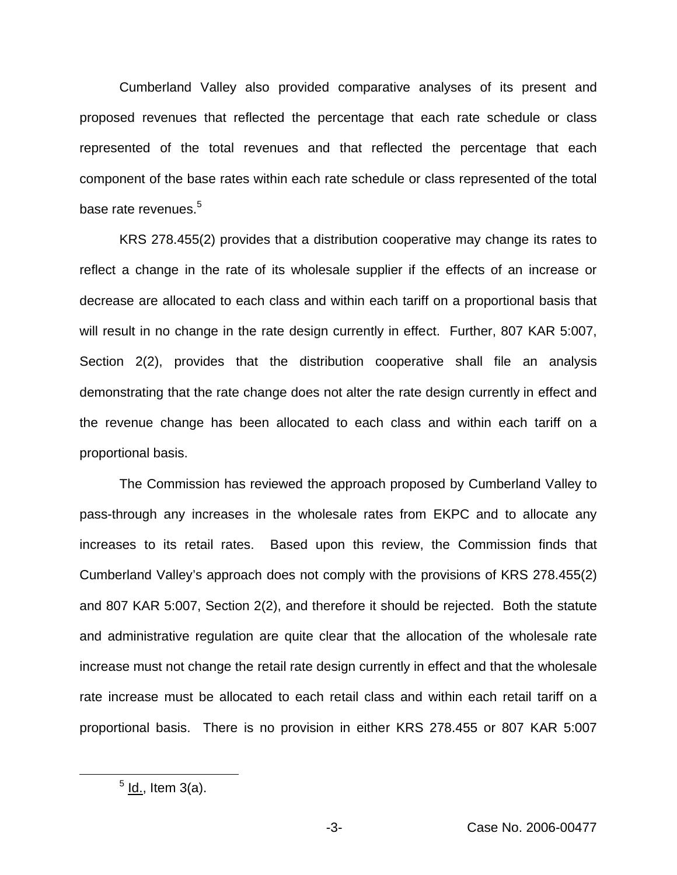Cumberland Valley also provided comparative analyses of its present and proposed revenues that reflected the percentage that each rate schedule or class represented of the total revenues and that reflected the percentage that each component of the base rates within each rate schedule or class represented of the total base rate revenues.<sup>5</sup>

KRS 278.455(2) provides that a distribution cooperative may change its rates to reflect a change in the rate of its wholesale supplier if the effects of an increase or decrease are allocated to each class and within each tariff on a proportional basis that will result in no change in the rate design currently in effect. Further, 807 KAR 5:007, Section 2(2), provides that the distribution cooperative shall file an analysis demonstrating that the rate change does not alter the rate design currently in effect and the revenue change has been allocated to each class and within each tariff on a proportional basis.

The Commission has reviewed the approach proposed by Cumberland Valley to pass-through any increases in the wholesale rates from EKPC and to allocate any increases to its retail rates. Based upon this review, the Commission finds that Cumberland Valley's approach does not comply with the provisions of KRS 278.455(2) and 807 KAR 5:007, Section 2(2), and therefore it should be rejected. Both the statute and administrative regulation are quite clear that the allocation of the wholesale rate increase must not change the retail rate design currently in effect and that the wholesale rate increase must be allocated to each retail class and within each retail tariff on a proportional basis. There is no provision in either KRS 278.455 or 807 KAR 5:007

 $<sup>5</sup>$  ld., Item 3(a).</sup>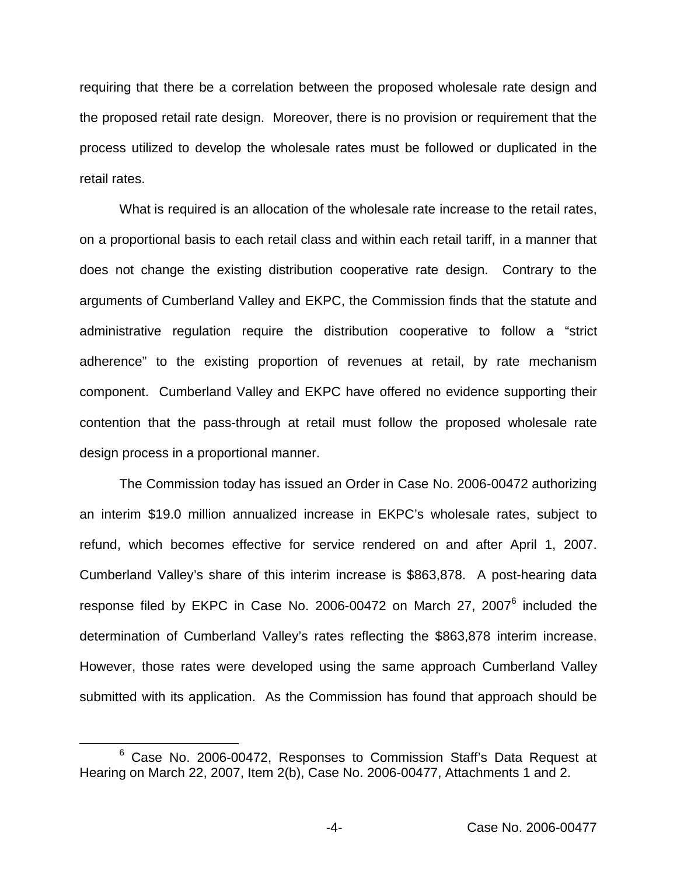requiring that there be a correlation between the proposed wholesale rate design and the proposed retail rate design. Moreover, there is no provision or requirement that the process utilized to develop the wholesale rates must be followed or duplicated in the retail rates.

What is required is an allocation of the wholesale rate increase to the retail rates, on a proportional basis to each retail class and within each retail tariff, in a manner that does not change the existing distribution cooperative rate design. Contrary to the arguments of Cumberland Valley and EKPC, the Commission finds that the statute and administrative regulation require the distribution cooperative to follow a "strict adherence" to the existing proportion of revenues at retail, by rate mechanism component. Cumberland Valley and EKPC have offered no evidence supporting their contention that the pass-through at retail must follow the proposed wholesale rate design process in a proportional manner.

The Commission today has issued an Order in Case No. 2006-00472 authorizing an interim \$19.0 million annualized increase in EKPC's wholesale rates, subject to refund, which becomes effective for service rendered on and after April 1, 2007. Cumberland Valley's share of this interim increase is \$863,878. A post-hearing data response filed by EKPC in Case No. 2006-00472 on March 27, 2007<sup>6</sup> included the determination of Cumberland Valley's rates reflecting the \$863,878 interim increase. However, those rates were developed using the same approach Cumberland Valley submitted with its application. As the Commission has found that approach should be

<sup>6</sup> Case No. 2006-00472, Responses to Commission Staff's Data Request at Hearing on March 22, 2007, Item 2(b), Case No. 2006-00477, Attachments 1 and 2.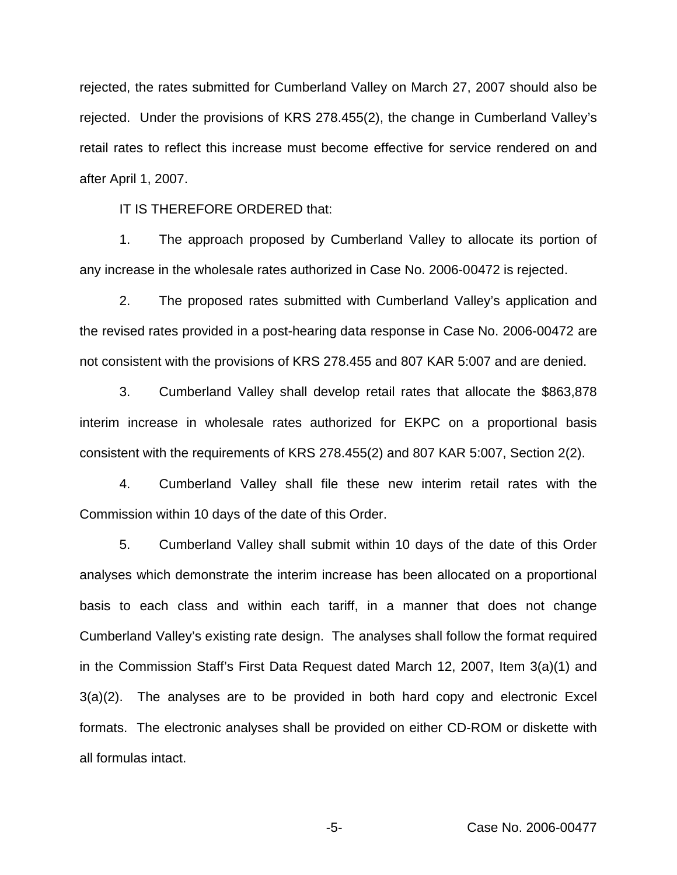rejected, the rates submitted for Cumberland Valley on March 27, 2007 should also be rejected. Under the provisions of KRS 278.455(2), the change in Cumberland Valley's retail rates to reflect this increase must become effective for service rendered on and after April 1, 2007.

IT IS THEREFORE ORDERED that:

1. The approach proposed by Cumberland Valley to allocate its portion of any increase in the wholesale rates authorized in Case No. 2006-00472 is rejected.

2. The proposed rates submitted with Cumberland Valley's application and the revised rates provided in a post-hearing data response in Case No. 2006-00472 are not consistent with the provisions of KRS 278.455 and 807 KAR 5:007 and are denied.

3. Cumberland Valley shall develop retail rates that allocate the \$863,878 interim increase in wholesale rates authorized for EKPC on a proportional basis consistent with the requirements of KRS 278.455(2) and 807 KAR 5:007, Section 2(2).

4. Cumberland Valley shall file these new interim retail rates with the Commission within 10 days of the date of this Order.

5. Cumberland Valley shall submit within 10 days of the date of this Order analyses which demonstrate the interim increase has been allocated on a proportional basis to each class and within each tariff, in a manner that does not change Cumberland Valley's existing rate design. The analyses shall follow the format required in the Commission Staff's First Data Request dated March 12, 2007, Item 3(a)(1) and 3(a)(2). The analyses are to be provided in both hard copy and electronic Excel formats. The electronic analyses shall be provided on either CD-ROM or diskette with all formulas intact.

-5- Case No. 2006-00477